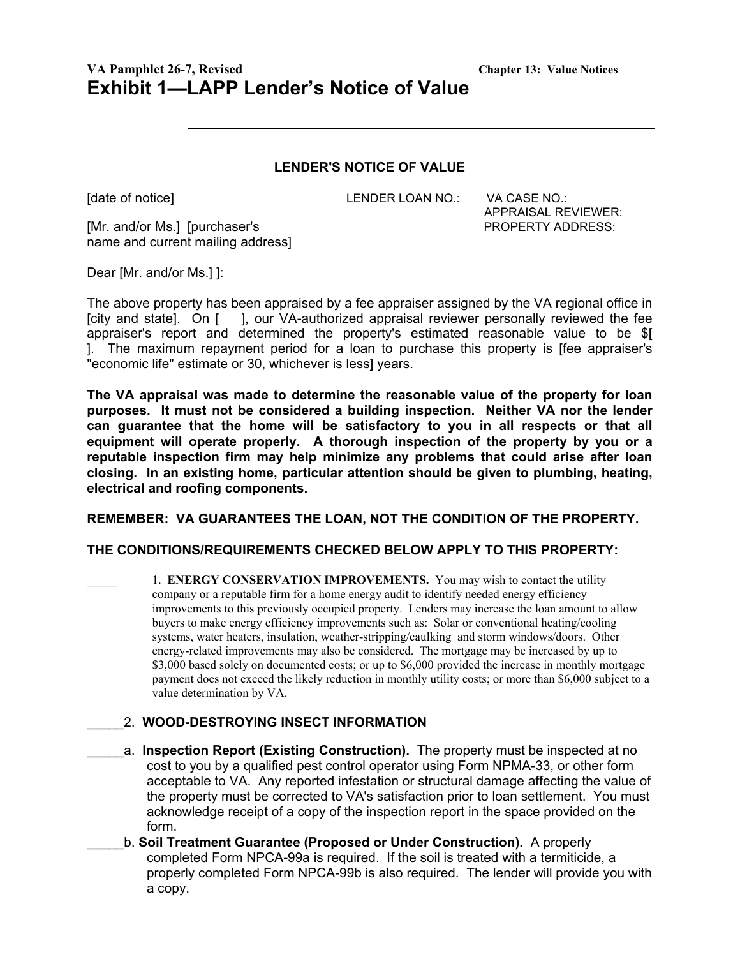# **VA Pamphlet 26-7, Revised Chapter 13: Value Notices Exhibit 1—LAPP Lender's Notice of Value**

#### **LENDER'S NOTICE OF VALUE**

[date of notice] The Collection CENDER LOAN NO.: VA CASE NO.:

APPRAISAL REVIEWER:

[Mr. and/or Ms.] [purchaser's PROPERTY ADDRESS: name and current mailing address]

Dear [Mr. and/or Ms.] ]:

The above property has been appraised by a fee appraiser assigned by the VA regional office in [city and state]. On [ ], our VA-authorized appraisal reviewer personally reviewed the fee appraiser's report and determined the property's estimated reasonable value to be \$[ ]. The maximum repayment period for a loan to purchase this property is [fee appraiser's "economic life" estimate or 30, whichever is less] years.

**The VA appraisal was made to determine the reasonable value of the property for loan purposes. It must not be considered a building inspection. Neither VA nor the lender can guarantee that the home will be satisfactory to you in all respects or that all equipment will operate properly. A thorough inspection of the property by you or a reputable inspection firm may help minimize any problems that could arise after loan closing. In an existing home, particular attention should be given to plumbing, heating, electrical and roofing components.**

### **REMEMBER: VA GUARANTEES THE LOAN, NOT THE CONDITION OF THE PROPERTY.**

#### **THE CONDITIONS/REQUIREMENTS CHECKED BELOW APPLY TO THIS PROPERTY:**

\_\_\_\_\_ 1. **ENERGY CONSERVATION IMPROVEMENTS.** You may wish to contact the utility company or a reputable firm for a home energy audit to identify needed energy efficiency improvements to this previously occupied property. Lenders may increase the loan amount to allow buyers to make energy efficiency improvements such as: Solar or conventional heating/cooling systems, water heaters, insulation, weather-stripping/caulking and storm windows/doors. Other energy-related improvements may also be considered. The mortgage may be increased by up to \$3,000 based solely on documented costs; or up to \$6,000 provided the increase in monthly mortgage payment does not exceed the likely reduction in monthly utility costs; or more than \$6,000 subject to a value determination by VA.

#### \_\_\_\_\_2. **WOOD-DESTROYING INSECT INFORMATION**

- a. **Inspection Report (Existing Construction).** The property must be inspected at no cost to you by a qualified pest control operator using Form NPMA-33, or other form acceptable to VA. Any reported infestation or structural damage affecting the value of the property must be corrected to VA's satisfaction prior to loan settlement. You must acknowledge receipt of a copy of the inspection report in the space provided on the form.
- \_\_\_\_\_b. **Soil Treatment Guarantee (Proposed or Under Construction).** A properly completed Form NPCA-99a is required. If the soil is treated with a termiticide, a properly completed Form NPCA-99b is also required. The lender will provide you with a copy.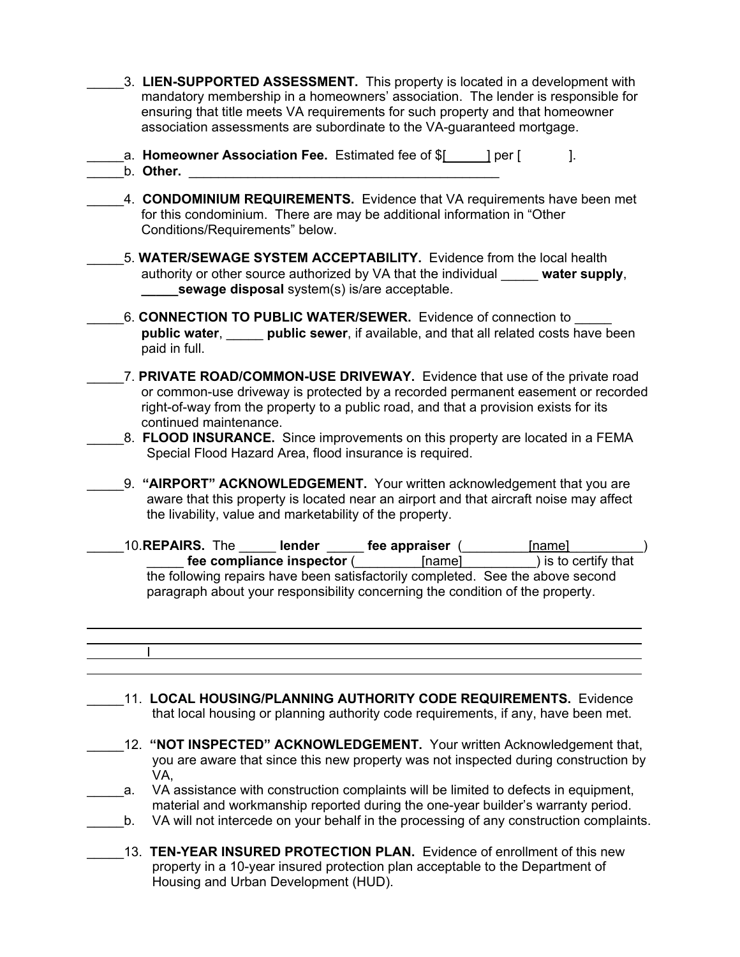- \_\_\_\_\_3. **LIEN-SUPPORTED ASSESSMENT.** This property is located in a development with mandatory membership in a homeowners' association. The lender is responsible for ensuring that title meets VA requirements for such property and that homeowner association assessments are subordinate to the VA-guaranteed mortgage.
- a. **Homeowner Association Fee.** Estimated fee of  $$$ [ ] per [ ]. **b. Other.** *p*
- \_\_\_\_\_4. **CONDOMINIUM REQUIREMENTS.** Evidence that VA requirements have been met for this condominium. There are may be additional information in "Other Conditions/Requirements" below.
	- \_\_\_\_\_5. **WATER/SEWAGE SYSTEM ACCEPTABILITY.** Evidence from the local health authority or other source authorized by VA that the individual \_\_\_\_\_ **water supply**, **sewage disposal** system(s) is/are acceptable.
		- \_\_\_\_\_6. **CONNECTION TO PUBLIC WATER/SEWER.** Evidence of connection to \_\_\_\_\_ **public water**, \_\_\_\_\_ **public sewer**, if available, and that all related costs have been paid in full.
	- \_\_\_\_\_7. **PRIVATE ROAD/COMMON-USE DRIVEWAY.** Evidence that use of the private road or common-use driveway is protected by a recorded permanent easement or recorded right-of-way from the property to a public road, and that a provision exists for its continued maintenance.
	- \_\_\_\_\_8. **FLOOD INSURANCE.** Since improvements on this property are located in a FEMA Special Flood Hazard Area, flood insurance is required.
	- \_\_\_\_\_9. **"AIRPORT" ACKNOWLEDGEMENT.** Your written acknowledgement that you are aware that this property is located near an airport and that aircraft noise may affect the livability, value and marketability of the property.
- \_\_\_\_\_10.**REPAIRS.** The \_\_\_\_\_ **lender** \_\_\_\_\_ **fee appraiser** (\_\_\_\_\_\_\_\_\_[name]\_\_\_\_\_\_\_\_\_\_) **The compliance inspector** (**Letter Letter Letter Letter Letter Letter Letter Letter Letter Letter Letter Letter Letter Letter Letter Letter Letter Letter Letter Letter Letter Letter Letter Letter Letter Letter Letter Lett** the following repairs have been satisfactorily completed. See the above second paragraph about your responsibility concerning the condition of the property.

## \_\_\_\_\_11. **LOCAL HOUSING/PLANNING AUTHORITY CODE REQUIREMENTS.** Evidence that local housing or planning authority code requirements, if any, have been met.

I

- 12. "NOT INSPECTED" ACKNOWLEDGEMENT. Your written Acknowledgement that, you are aware that since this new property was not inspected during construction by VA,
- \_a. VA assistance with construction complaints will be limited to defects in equipment, material and workmanship reported during the one-year builder's warranty period.
- b. VA will not intercede on your behalf in the processing of any construction complaints.
- 13. **TEN-YEAR INSURED PROTECTION PLAN.** Evidence of enrollment of this new property in a 10-year insured protection plan acceptable to the Department of Housing and Urban Development (HUD).